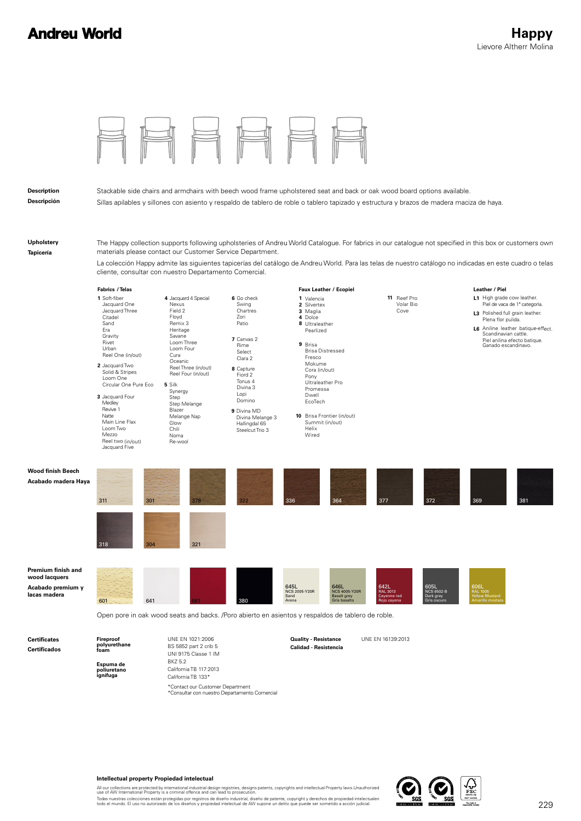## **Andreu World**

| <b>Description</b><br>Descripción                                        |                                                                                                                                                                                                                                                                                                                                                                                                                                            |                                                                                                                                                                                                                                                                                         |                                                                                                                                                                                                                                     | Stackable side chairs and armchairs with beech wood frame upholstered seat and back or oak wood board options available.<br>Sillas apilables y sillones con asiento y respaldo de tablero de roble o tablero tapizado y estructura y brazos de madera maciza de haya.                                               |                                                                                                  |                                                                                                                                                                                                                                                             |
|--------------------------------------------------------------------------|--------------------------------------------------------------------------------------------------------------------------------------------------------------------------------------------------------------------------------------------------------------------------------------------------------------------------------------------------------------------------------------------------------------------------------------------|-----------------------------------------------------------------------------------------------------------------------------------------------------------------------------------------------------------------------------------------------------------------------------------------|-------------------------------------------------------------------------------------------------------------------------------------------------------------------------------------------------------------------------------------|---------------------------------------------------------------------------------------------------------------------------------------------------------------------------------------------------------------------------------------------------------------------------------------------------------------------|--------------------------------------------------------------------------------------------------|-------------------------------------------------------------------------------------------------------------------------------------------------------------------------------------------------------------------------------------------------------------|
| Upholstery<br>Tapicería                                                  | The Happy collection supports following upholsteries of Andreu World Catalogue. For fabrics in our catalogue not specified in this box or customers own<br>materials please contact our Customer Service Department.<br>La colección Happy admite las siguientes tapicerías del catálogo de Andreu World. Para las telas de nuestro catálogo no indicadas en este cuadro o telas<br>cliente, consultar con nuestro Departamento Comercial. |                                                                                                                                                                                                                                                                                         |                                                                                                                                                                                                                                     |                                                                                                                                                                                                                                                                                                                     |                                                                                                  |                                                                                                                                                                                                                                                             |
|                                                                          | Fabrics / Telas<br>1 Soft-fiber<br>Jacquard One<br>Jacquard Three<br>Citadel<br>Sand<br>Era<br>Gravity<br>Rivet<br>Urban<br>Reel One (in/out)<br>2 Jacquard Two<br>Solid & Stripes<br>Loom One<br>Circular One Pure Eco<br>3 Jacquard Four<br>Medley<br>Revive 1<br>Natte<br>Main Line Flax<br>Loom Two<br>Mezzo<br>Reel two (in/out)<br>Jacquard Five                                                                                     | 4 Jacquard 4 Special<br>Nexus<br>Field 2<br>Floyd<br>Remix 3<br>Heritage<br>Savane<br>Loom Three<br>Loom Four<br>Cura<br>Oceanic<br>Reel Three (in/out)<br>Reel Four (in/out)<br>5 Silk<br>Synergy<br>Step<br>Step Melange<br>Blazer<br>Melange Nap<br>Glow<br>Chili<br>Noma<br>Re-wool | 6 Go check<br>Swing<br>Chartres<br>Zori<br>Patio<br>7 Canvas 2<br>Rime<br>Select<br>Clara 2<br>8 Capture<br>Fiord 2<br>Tonus 4<br>Divina 3<br>Lopi<br>Domino<br>9 Divina MD<br>Divina Melange 3<br>Hallingdal 65<br>Steelcut Trio 3 | Faux Leather / Ecopiel<br>1 Valencia<br>2 Silvertex<br>3 Maglia<br>4 Dolce<br>8 Ultraleather<br>Pearlized<br>9 Brisa<br><b>Brisa Distressed</b><br>Fresco<br>Mokume<br>Cora (in/out)<br>Pony<br>Ultraleather Pro<br>Promessa<br>Dwell<br>EcoTech<br>10 Brisa Frontier (in/out)<br>Summit (in/out)<br>Helix<br>Wired | 11 Reef Pro<br>Volar Bio<br>Cove                                                                 | Leather / Piel<br>L1 High grade cow leather.<br>Piel de vaca de 1ª categoría.<br>L3 Polished full grain leather.<br>Plena flor pulida.<br>L6 Aniline leather batique-effect.<br>Scandinavian cattle.<br>Piel anilina efecto batique.<br>Ganado escandinavo. |
| <b>Wood finish Beech</b><br>Acabado madera Haya                          | 311<br>301<br>318<br>304                                                                                                                                                                                                                                                                                                                                                                                                                   | 378<br>321                                                                                                                                                                                                                                                                              |                                                                                                                                                                                                                                     | 336<br>364                                                                                                                                                                                                                                                                                                          | 377<br>372                                                                                       | 369<br>381                                                                                                                                                                                                                                                  |
| Premium finish and<br>wood lacquers<br>Acabado premium y<br>lacas madera | 641<br>601                                                                                                                                                                                                                                                                                                                                                                                                                                 |                                                                                                                                                                                                                                                                                         | 380                                                                                                                                                                                                                                 | 645L<br>NCS 2005-Y20R<br>646L<br>NCS 4005-Y20R<br>Sand<br><b>Basalt grey</b><br>Arena<br>Gris basalto<br>Open pore in oak wood seats and backs. /Poro abierto en asientos y respaldos de tablero de roble.                                                                                                          | 642L<br>RAL 3013<br>605L<br>NCS 6502-B<br>Cayenne red<br>Dark grey<br>Rojo cayena<br>Gris oscuro | 606L<br>RAL 1005<br>Yellow Mustard<br>marillo most                                                                                                                                                                                                          |
| <b>Certificates</b><br><b>Certificados</b>                               | Fireproof<br>polyurethane<br>foam<br>Espuma de<br>poliuretano<br>ignífuga                                                                                                                                                                                                                                                                                                                                                                  | UNE EN 1021:2006<br>BS 5852 part 2 crib 5<br>UNI 9175 Classe 1 IM<br>BKZ 5.2<br>California TB 117:2013<br>California TR 133*                                                                                                                                                            |                                                                                                                                                                                                                                     | <b>Quality - Resistance</b><br>Calidad - Resistencia                                                                                                                                                                                                                                                                | UNE EN 16139:2013                                                                                |                                                                                                                                                                                                                                                             |

**Intellectual property Propiedad intelectual**

California TB 133\*

\*Contact our Customer Department<br>\*Consultar con nuestro Departamento Comercial

All our collections are protected by international industrial design registries, designs patents, copyrights and intellectual Property laws.Unauthorized<br>Todas nuestras colleciones están protegidas por registros de diseño i

 $\Omega_{\rm scs}$ 

 $\overline{a}$ 

 $\sum_{\text{FSC}}$ 

 $s$ c $\bar{s}$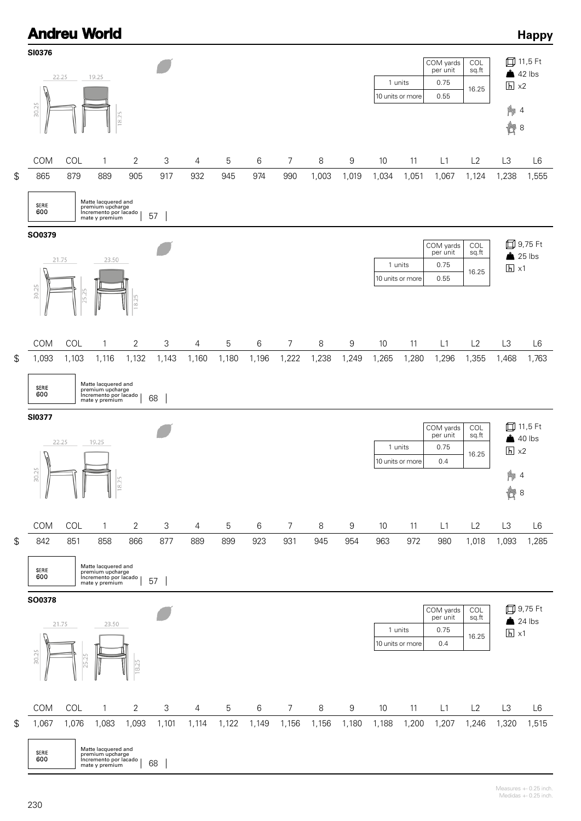